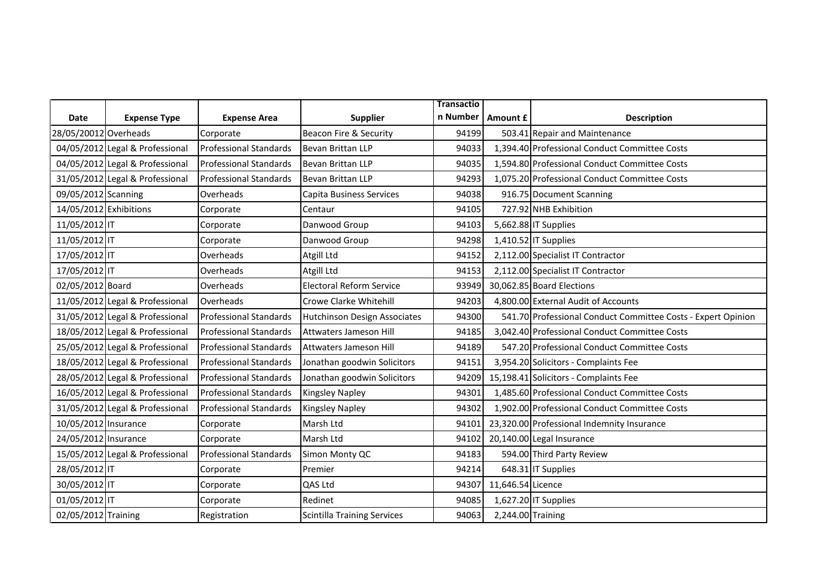|                        |                                 |                               |                                    | <b>Transactio</b> |                   |                                                              |
|------------------------|---------------------------------|-------------------------------|------------------------------------|-------------------|-------------------|--------------------------------------------------------------|
| Date                   | <b>Expense Type</b>             | <b>Expense Area</b>           | <b>Supplier</b>                    | n Number          | <b>Amount £</b>   | <b>Description</b>                                           |
| 28/05/20012 Overheads  |                                 | Corporate                     | Beacon Fire & Security             | 94199             |                   | 503.41 Repair and Maintenance                                |
|                        | 04/05/2012 Legal & Professional | <b>Professional Standards</b> | Bevan Brittan LLP                  | 94033             |                   | 1,394.40 Professional Conduct Committee Costs                |
|                        | 04/05/2012 Legal & Professional | <b>Professional Standards</b> | Bevan Brittan LLP                  | 94035             |                   | 1,594.80 Professional Conduct Committee Costs                |
|                        | 31/05/2012 Legal & Professional | <b>Professional Standards</b> | Bevan Brittan LLP                  | 94293             |                   | 1,075.20 Professional Conduct Committee Costs                |
| 09/05/2012 Scanning    |                                 | Overheads                     | <b>Capita Business Services</b>    | 94038             |                   | 916.75 Document Scanning                                     |
| 14/05/2012 Exhibitions |                                 | Corporate                     | Centaur                            | 94105             |                   | 727.92 NHB Exhibition                                        |
| 11/05/2012 IT          |                                 | Corporate                     | Danwood Group                      | 94103             |                   | 5,662.88 IT Supplies                                         |
| 11/05/2012 IT          |                                 | Corporate                     | Danwood Group                      | 94298             |                   | 1,410.52 IT Supplies                                         |
| 17/05/2012 IT          |                                 | Overheads                     | Atgill Ltd                         | 94152             |                   | 2,112.00 Specialist IT Contractor                            |
| 17/05/2012 IT          |                                 | Overheads                     | Atgill Ltd                         | 94153             |                   | 2,112.00 Specialist IT Contractor                            |
| 02/05/2012 Board       |                                 | Overheads                     | <b>Electoral Reform Service</b>    | 93949             |                   | 30,062.85 Board Elections                                    |
|                        | 11/05/2012 Legal & Professional | Overheads                     | Crowe Clarke Whitehill             | 94203             |                   | 4,800.00 External Audit of Accounts                          |
|                        | 31/05/2012 Legal & Professional | <b>Professional Standards</b> | Hutchinson Design Associates       | 94300             |                   | 541.70 Professional Conduct Committee Costs - Expert Opinion |
|                        | 18/05/2012 Legal & Professional | <b>Professional Standards</b> | Attwaters Jameson Hill             | 94185             |                   | 3,042.40 Professional Conduct Committee Costs                |
|                        | 25/05/2012 Legal & Professional | <b>Professional Standards</b> | Attwaters Jameson Hill             | 94189             |                   | 547.20 Professional Conduct Committee Costs                  |
|                        | 18/05/2012 Legal & Professional | <b>Professional Standards</b> | Jonathan goodwin Solicitors        | 94151             |                   | 3,954.20 Solicitors - Complaints Fee                         |
|                        | 28/05/2012 Legal & Professional | <b>Professional Standards</b> | Jonathan goodwin Solicitors        | 94209             |                   | 15,198.41 Solicitors - Complaints Fee                        |
|                        | 16/05/2012 Legal & Professional | <b>Professional Standards</b> | <b>Kingsley Napley</b>             | 94301             |                   | 1,485.60 Professional Conduct Committee Costs                |
|                        | 31/05/2012 Legal & Professional | <b>Professional Standards</b> | <b>Kingsley Napley</b>             | 94302             |                   | 1,902.00 Professional Conduct Committee Costs                |
| 10/05/2012 Insurance   |                                 | Corporate                     | Marsh Ltd                          | 94101             |                   | 23,320.00 Professional Indemnity Insurance                   |
| 24/05/2012 Insurance   |                                 | Corporate                     | Marsh Ltd                          | 94102             |                   | 20,140.00 Legal Insurance                                    |
|                        | 15/05/2012 Legal & Professional | <b>Professional Standards</b> | Simon Monty QC                     | 94183             |                   | 594.00 Third Party Review                                    |
| 28/05/2012 IT          |                                 | Corporate                     | Premier                            | 94214             |                   | 648.31 IT Supplies                                           |
| 30/05/2012 IT          |                                 | Corporate                     | QAS Ltd                            | 94307             | 11,646.54 Licence |                                                              |
| 01/05/2012 IT          |                                 | Corporate                     | Redinet                            | 94085             |                   | 1,627.20 IT Supplies                                         |
| 02/05/2012 Training    |                                 | Registration                  | <b>Scintilla Training Services</b> | 94063             | 2,244.00 Training |                                                              |